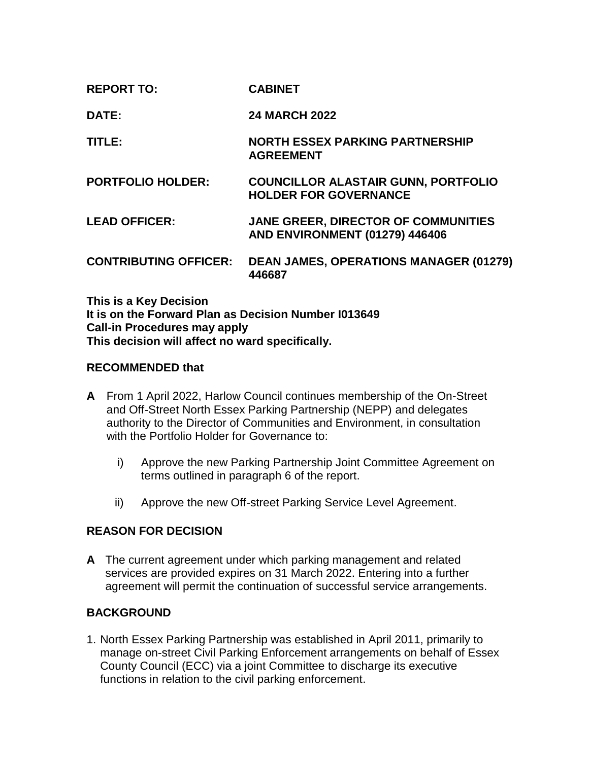| <b>REPORT TO:</b>            | <b>CABINET</b>                                                                      |
|------------------------------|-------------------------------------------------------------------------------------|
| DATE:                        | <b>24 MARCH 2022</b>                                                                |
| TITLE:                       | <b>NORTH ESSEX PARKING PARTNERSHIP</b><br><b>AGREEMENT</b>                          |
| <b>PORTFOLIO HOLDER:</b>     | <b>COUNCILLOR ALASTAIR GUNN, PORTFOLIO</b><br><b>HOLDER FOR GOVERNANCE</b>          |
| <b>LEAD OFFICER:</b>         | <b>JANE GREER, DIRECTOR OF COMMUNITIES</b><br><b>AND ENVIRONMENT (01279) 446406</b> |
| <b>CONTRIBUTING OFFICER:</b> | <b>DEAN JAMES, OPERATIONS MANAGER (01279)</b><br>446687                             |

**This is a Key Decision It is on the Forward Plan as Decision Number I013649 Call-in Procedures may apply This decision will affect no ward specifically.**

### **RECOMMENDED that**

- **A** From 1 April 2022, Harlow Council continues membership of the On-Street and Off-Street North Essex Parking Partnership (NEPP) and delegates authority to the Director of Communities and Environment, in consultation with the Portfolio Holder for Governance to:
	- i) Approve the new Parking Partnership Joint Committee Agreement on terms outlined in paragraph 6 of the report.
	- ii) Approve the new Off-street Parking Service Level Agreement.

### **REASON FOR DECISION**

**A** The current agreement under which parking management and related services are provided expires on 31 March 2022. Entering into a further agreement will permit the continuation of successful service arrangements.

### **BACKGROUND**

1. North Essex Parking Partnership was established in April 2011, primarily to manage on-street Civil Parking Enforcement arrangements on behalf of Essex County Council (ECC) via a joint Committee to discharge its executive functions in relation to the civil parking enforcement.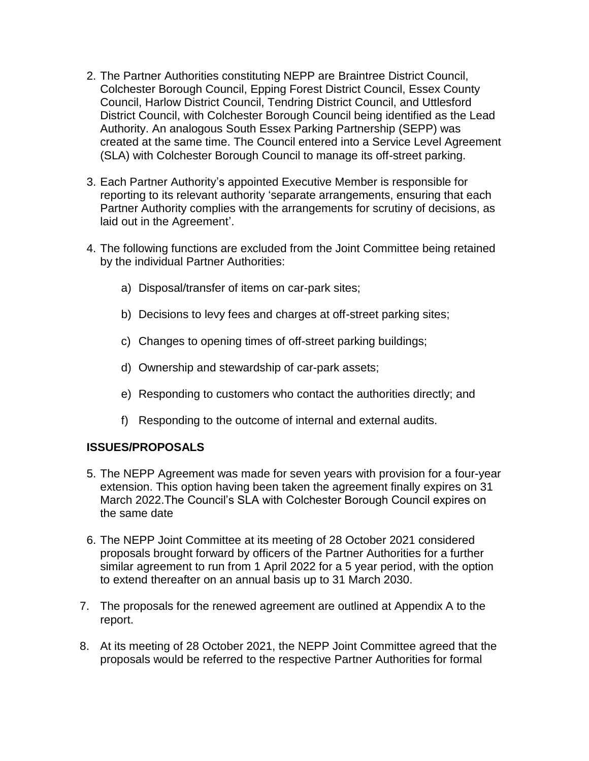- 2. The Partner Authorities constituting NEPP are Braintree District Council, Colchester Borough Council, Epping Forest District Council, Essex County Council, Harlow District Council, Tendring District Council, and Uttlesford District Council, with Colchester Borough Council being identified as the Lead Authority. An analogous South Essex Parking Partnership (SEPP) was created at the same time. The Council entered into a Service Level Agreement (SLA) with Colchester Borough Council to manage its off-street parking.
- 3. Each Partner Authority's appointed Executive Member is responsible for reporting to its relevant authority 'separate arrangements, ensuring that each Partner Authority complies with the arrangements for scrutiny of decisions, as laid out in the Agreement'.
- 4. The following functions are excluded from the Joint Committee being retained by the individual Partner Authorities:
	- a) Disposal/transfer of items on car-park sites;
	- b) Decisions to levy fees and charges at off-street parking sites;
	- c) Changes to opening times of off-street parking buildings;
	- d) Ownership and stewardship of car-park assets;
	- e) Responding to customers who contact the authorities directly; and
	- f) Responding to the outcome of internal and external audits.

# **ISSUES/PROPOSALS**

- 5. The NEPP Agreement was made for seven years with provision for a four-year extension. This option having been taken the agreement finally expires on 31 March 2022.The Council's SLA with Colchester Borough Council expires on the same date
- 6. The NEPP Joint Committee at its meeting of 28 October 2021 considered proposals brought forward by officers of the Partner Authorities for a further similar agreement to run from 1 April 2022 for a 5 year period, with the option to extend thereafter on an annual basis up to 31 March 2030.
- 7. The proposals for the renewed agreement are outlined at Appendix A to the report.
- 8. At its meeting of 28 October 2021, the NEPP Joint Committee agreed that the proposals would be referred to the respective Partner Authorities for formal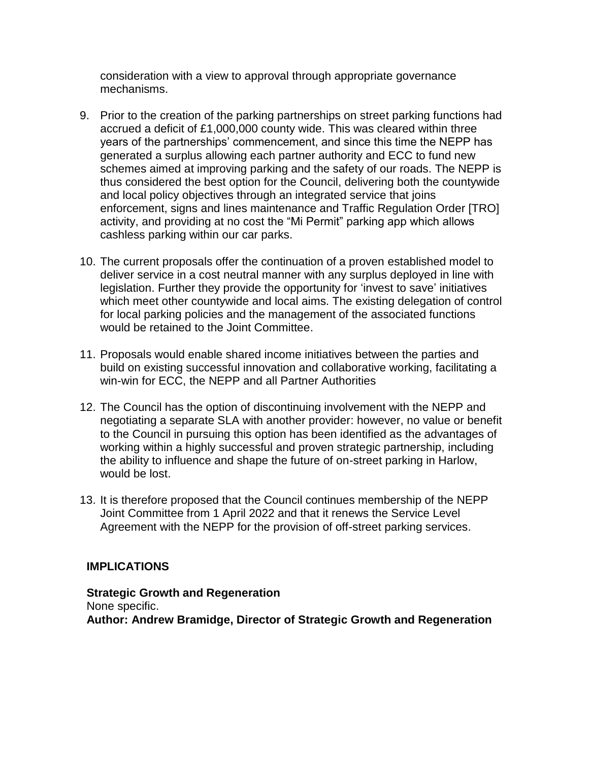consideration with a view to approval through appropriate governance mechanisms.

- 9. Prior to the creation of the parking partnerships on street parking functions had accrued a deficit of £1,000,000 county wide. This was cleared within three years of the partnerships' commencement, and since this time the NEPP has generated a surplus allowing each partner authority and ECC to fund new schemes aimed at improving parking and the safety of our roads. The NEPP is thus considered the best option for the Council, delivering both the countywide and local policy objectives through an integrated service that joins enforcement, signs and lines maintenance and Traffic Regulation Order [TRO] activity, and providing at no cost the "Mi Permit" parking app which allows cashless parking within our car parks.
- 10. The current proposals offer the continuation of a proven established model to deliver service in a cost neutral manner with any surplus deployed in line with legislation. Further they provide the opportunity for 'invest to save' initiatives which meet other countywide and local aims. The existing delegation of control for local parking policies and the management of the associated functions would be retained to the Joint Committee.
- 11. Proposals would enable shared income initiatives between the parties and build on existing successful innovation and collaborative working, facilitating a win-win for ECC, the NEPP and all Partner Authorities
- 12. The Council has the option of discontinuing involvement with the NEPP and negotiating a separate SLA with another provider: however, no value or benefit to the Council in pursuing this option has been identified as the advantages of working within a highly successful and proven strategic partnership, including the ability to influence and shape the future of on-street parking in Harlow, would be lost.
- 13. It is therefore proposed that the Council continues membership of the NEPP Joint Committee from 1 April 2022 and that it renews the Service Level Agreement with the NEPP for the provision of off-street parking services.

# **IMPLICATIONS**

**Strategic Growth and Regeneration** None specific. **Author: Andrew Bramidge, Director of Strategic Growth and Regeneration**